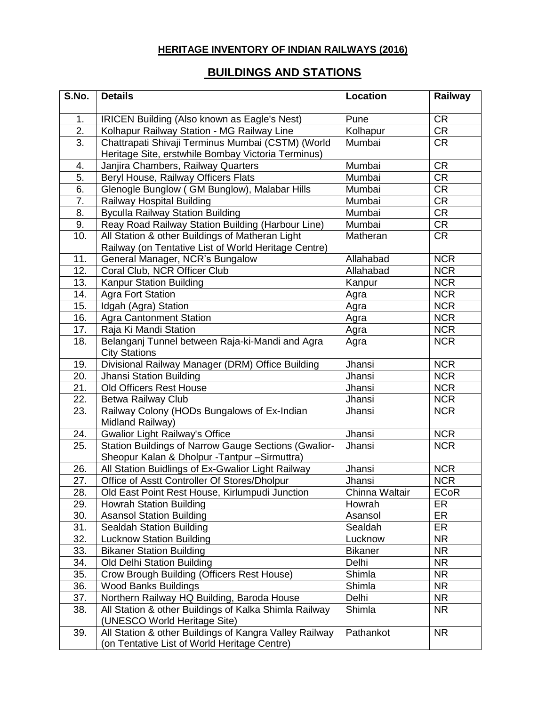## **HERITAGE INVENTORY OF INDIAN RAILWAYS (2016)**

## **BUILDINGS AND STATIONS**

| S.No.            | <b>Details</b>                                                                        | Location       | Railway                 |
|------------------|---------------------------------------------------------------------------------------|----------------|-------------------------|
| 1.               | <b>IRICEN Building (Also known as Eagle's Nest)</b>                                   | Pune           | CR                      |
| $\overline{2}$ . | Kolhapur Railway Station - MG Railway Line                                            | Kolhapur       | CR                      |
| $\overline{3}$ . | Chattrapati Shivaji Terminus Mumbai (CSTM) (World                                     | Mumbai         | <b>CR</b>               |
|                  | Heritage Site, erstwhile Bombay Victoria Terminus)                                    |                |                         |
| 4.               | Janjira Chambers, Railway Quarters                                                    | Mumbai         | <b>CR</b>               |
| 5.               | Beryl House, Railway Officers Flats                                                   | Mumbai         | <b>CR</b>               |
| 6.               | Glenogle Bunglow (GM Bunglow), Malabar Hills                                          | Mumbai         | CR                      |
| 7.               | Railway Hospital Building                                                             | Mumbai         | <b>CR</b>               |
| 8.               | <b>Byculla Railway Station Building</b>                                               | Mumbai         | <b>CR</b>               |
| 9.               | Reay Road Railway Station Building (Harbour Line)                                     | Mumbai         | CR                      |
| 10.              | All Station & other Buildings of Matheran Light                                       | Matheran       | <b>CR</b>               |
|                  | Railway (on Tentative List of World Heritage Centre)                                  |                |                         |
| 11.              | General Manager, NCR's Bungalow                                                       | Allahabad      | $\overline{\text{NCR}}$ |
| 12.              | Coral Club, NCR Officer Club                                                          | Allahabad      | <b>NCR</b>              |
| 13.              | Kanpur Station Building                                                               | Kanpur         | <b>NCR</b>              |
| 14.              | <b>Agra Fort Station</b>                                                              | Agra           | <b>NCR</b>              |
| 15.              | Idgah (Agra) Station                                                                  | Agra           | <b>NCR</b>              |
| 16.              | <b>Agra Cantonment Station</b>                                                        | Agra           | <b>NCR</b>              |
| 17.              | Raja Ki Mandi Station                                                                 | Agra           | <b>NCR</b>              |
| 18.              | Belanganj Tunnel between Raja-ki-Mandi and Agra                                       | Agra           | <b>NCR</b>              |
|                  | <b>City Stations</b>                                                                  |                |                         |
| 19.              | Divisional Railway Manager (DRM) Office Building                                      | Jhansi         | <b>NCR</b>              |
| 20.              | Jhansi Station Building                                                               | Jhansi         | <b>NCR</b>              |
| 21.              | <b>Old Officers Rest House</b>                                                        | Jhansi         | <b>NCR</b>              |
| 22.              | Betwa Railway Club                                                                    | Jhansi         | <b>NCR</b>              |
| 23.              | Railway Colony (HODs Bungalows of Ex-Indian                                           | Jhansi         | <b>NCR</b>              |
|                  | Midland Railway)                                                                      |                |                         |
| 24.              | <b>Gwalior Light Railway's Office</b>                                                 | Jhansi         | <b>NCR</b>              |
| 25.              | Station Buildings of Narrow Gauge Sections (Gwalior-                                  | Jhansi         | <b>NCR</b>              |
|                  | Sheopur Kalan & Dholpur - Tantpur - Sirmuttra)                                        |                |                         |
| 26.              | All Station Buidlings of Ex-Gwalior Light Railway                                     | Jhansi         | <b>NCR</b>              |
| 27.              | Office of Asstt Controller Of Stores/Dholpur                                          | Jhansi         | <b>NCR</b>              |
| 28.              | Old East Point Rest House, Kirlumpudi Junction                                        | Chinna Waltair | <b>ECoR</b>             |
| 29.              | <b>Howrah Station Building</b>                                                        | Howrah         | ER                      |
| 30.              | <b>Asansol Station Building</b>                                                       | Asansol        | ER                      |
| 31.              | <b>Sealdah Station Building</b>                                                       | Sealdah        | ER                      |
| 32.              | <b>Lucknow Station Building</b>                                                       | Lucknow        | <b>NR</b>               |
| 33.              | <b>Bikaner Station Building</b>                                                       | <b>Bikaner</b> | <b>NR</b>               |
| 34.              | Old Delhi Station Building                                                            | Delhi          | <b>NR</b>               |
| 35.              | <b>Crow Brough Building (Officers Rest House)</b>                                     | Shimla         | <b>NR</b>               |
| 36.              | <b>Wood Banks Buildings</b>                                                           | Shimla         | <b>NR</b>               |
| 37.              | Northern Railway HQ Building, Baroda House                                            | Delhi          | <b>NR</b>               |
| 38.              | All Station & other Buildings of Kalka Shimla Railway<br>(UNESCO World Heritage Site) | Shimla         | <b>NR</b>               |
| 39.              | All Station & other Buildings of Kangra Valley Railway                                | Pathankot      | <b>NR</b>               |
|                  | (on Tentative List of World Heritage Centre)                                          |                |                         |